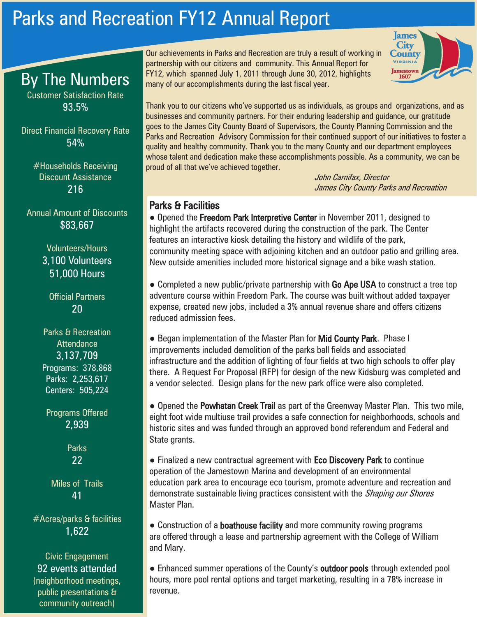## Parks and Recreation FY12 Annual Report



Thank you to our citizens who've supported us as individuals, as groups and organizations, and as businesses and community partners. For their enduring leadership and guidance, our gratitude goes to the James City County Board of Supervisors, the County Planning Commission and the Parks and Recreation Advisory Commission for their continued support of our initiatives to foster a quality and healthy community. Thank you to the many County and our department employees whose talent and dedication make these accomplishments possible. As a community, we can be proud of all that we've achieved together.

Our achievements in Parks and Recreation are truly a result of working in partnership with our citizens and community. This Annual Report for FY12, which spanned July 1, 2011 through June 30, 2012, highlights

many of our accomplishments during the last fiscal year.

John Carnifax, Director James City County Parks and Recreation

## Parks & Facilities

highlight the artifacts recovered during the construction of the park. The Center features an interactive kiosk detailing the history and wildlife of the park, • Opened the Freedom Park Interpretive Center in November 2011, designed to community meeting space with adjoining kitchen and an outdoor patio and grilling area. New outside amenities included more historical signage and a bike wash station.

● Completed a new public/private partnership with Go Ape USA to construct a tree top adventure course within Freedom Park. The course was built without added taxpayer expense, created new jobs, included a 3% annual revenue share and offers citizens reduced admission fees.

infrastructure and the addition of lighting of four fields at two high schools to offer play there. A Request For Proposal (RFP) for design of the new Kidsburg was completed and • Began implementation of the Master Plan for Mid County Park. Phase I improvements included demolition of the parks ball fields and associated a vendor selected. Design plans for the new park office were also completed.

• Opened the Powhatan Creek Trail as part of the Greenway Master Plan. This two mile, eight foot wide multiuse trail provides a safe connection for neighborhoods, schools and historic sites and was funded through an approved bond referendum and Federal and State grants.

• Finalized a new contractual agreement with **Eco Discovery Park** to continue operation of the Jamestown Marina and development of an environmental education park area to encourage eco tourism, promote adventure and recreation and demonstrate sustainable living practices consistent with the *Shaping our Shores* Master Plan.

• Construction of a **boathouse facility** and more community rowing programs are offered through a lease and partnership agreement with the College of William and Mary.

● Enhanced summer operations of the County's **outdoor pools** through extended pool hours, more pool rental options and target marketing, resulting in a 78% increase in revenue.

By The Numbers

Customer Satisfaction Rate 93.5%

Direct Financial Recovery Rate 54%

> #Households Receiving Discount Assistance 216

Annual Amount of Discounts \$83,667

> Volunteers/Hours 3,100 Volunteers 51,000 Hours

Official Partners  $2<sub>0</sub>$ 

Parks & Recreation **Attendance** 3,137,709 Programs: 378,868 Parks: 2,253,617 Centers: 505,224

Programs Offered 2,939

> Parks 22

Miles of Trails 41

#Acres/parks & facilities 1,622

Civic Engagement 92 events attended (neighborhood meetings, public presentations & community outreach)